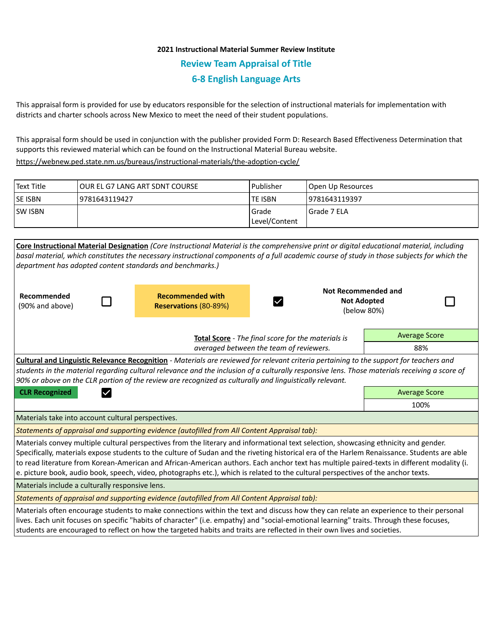## **2021 Instructional Material Summer Review Institute Review Team Appraisal of Title 6-8 English Language Arts**

This appraisal form is provided for use by educators responsible for the selection of instructional materials for implementation with districts and charter schools across New Mexico to meet the need of their student populations.

This appraisal form should be used in conjunction with the publisher provided Form D: Research Based Effectiveness Determination that supports this reviewed material which can be found on the Instructional Material Bureau website.

<https://webnew.ped.state.nm.us/bureaus/instructional-materials/the-adoption-cycle/>

| Text Title     | lOUR EL G7 LANG ART SDNT COURSE | l Publisher            | Open Up Resources |
|----------------|---------------------------------|------------------------|-------------------|
| <b>SE ISBN</b> | 19781643119427                  | lte ISBN               | 19781643119397    |
| <b>SW ISBN</b> |                                 | Grade<br>Level/Content | I Grade 7 ELA     |
|                |                                 |                        |                   |

**Core Instructional Material Designation** *(Core Instructional Material is the comprehensive print or digital educational material, including basal material, which constitutes the necessary instructional components of a full academic course of study in those subjects for which the department has adopted content standards and benchmarks.)* **Not Recommended and Recommended with Recommended**  Ø **Not Adopted**  (90% and above) **Reservations** (80-89%) (below 80%) Average Score **Total Score** - *The final score for the materials is averaged between the team of reviewers.* 88% **Cultural and Linguistic Relevance Recognition** - *Materials are reviewed for relevant criteria pertaining to the support for teachers and students in the material regarding cultural relevance and the inclusion of a culturally responsive lens. Those materials receiving a score of 90% or above on the CLR portion of the review are recognized as culturally and linguistically relevant.* **CLR Recognized Average Score Average Score Average Score Average Score Average Score** 100% Materials take into account cultural perspectives. *Statements of appraisal and supporting evidence (autofilled from All Content Appraisal tab):*  Materials convey multiple cultural perspectives from the literary and informational text selection, showcasing ethnicity and gender. Specifically, materials expose students to the culture of Sudan and the riveting historical era of the Harlem Renaissance. Students are able to read literature from Korean-American and African-American authors. Each anchor text has multiple paired-texts in different modality (i. e. picture book, audio book, speech, video, photographs etc.), which is related to the cultural perspectives of the anchor texts. Materials include a culturally responsive lens. *Statements of appraisal and supporting evidence (autofilled from All Content Appraisal tab):*  Materials often encourage students to make connections within the text and discuss how they can relate an experience to their personal lives. Each unit focuses on specific "habits of character" (i.e. empathy) and "social-emotional learning" traits. Through these focuses, students are encouraged to reflect on how the targeted habits and traits are reflected in their own lives and societies.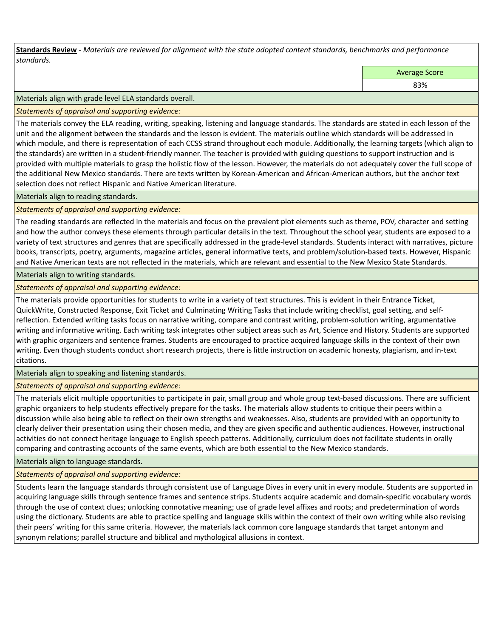**Standards Review** *- Materials are reviewed for alignment with the state adopted content standards, benchmarks and performance standards.*

Average Score

83%

Materials align with grade level ELA standards overall.

*Statements of appraisal and supporting evidence:* 

The materials convey the ELA reading, writing, speaking, listening and language standards. The standards are stated in each lesson of the unit and the alignment between the standards and the lesson is evident. The materials outline which standards will be addressed in which module, and there is representation of each CCSS strand throughout each module. Additionally, the learning targets (which align to the standards) are written in a student-friendly manner. The teacher is provided with guiding questions to support instruction and is provided with multiple materials to grasp the holistic flow of the lesson. However, the materials do not adequately cover the full scope of the additional New Mexico standards. There are texts written by Korean-American and African-American authors, but the anchor text selection does not reflect Hispanic and Native American literature.

Materials align to reading standards.

*Statements of appraisal and supporting evidence:* 

The reading standards are reflected in the materials and focus on the prevalent plot elements such as theme, POV, character and setting and how the author conveys these elements through particular details in the text. Throughout the school year, students are exposed to a variety of text structures and genres that are specifically addressed in the grade-level standards. Students interact with narratives, picture books, transcripts, poetry, arguments, magazine articles, general informative texts, and problem/solution-based texts. However, Hispanic and Native American texts are not reflected in the materials, which are relevant and essential to the New Mexico State Standards.

Materials align to writing standards.

*Statements of appraisal and supporting evidence:* 

The materials provide opportunities for students to write in a variety of text structures. This is evident in their Entrance Ticket, QuickWrite, Constructed Response, Exit Ticket and Culminating Writing Tasks that include writing checklist, goal setting, and selfreflection. Extended writing tasks focus on narrative writing, compare and contrast writing, problem-solution writing, argumentative writing and informative writing. Each writing task integrates other subject areas such as Art, Science and History. Students are supported with graphic organizers and sentence frames. Students are encouraged to practice acquired language skills in the context of their own writing. Even though students conduct short research projects, there is little instruction on academic honesty, plagiarism, and in-text citations.

Materials align to speaking and listening standards.

*Statements of appraisal and supporting evidence:* 

The materials elicit multiple opportunities to participate in pair, small group and whole group text-based discussions. There are sufficient graphic organizers to help students effectively prepare for the tasks. The materials allow students to critique their peers within a discussion while also being able to reflect on their own strengths and weaknesses. Also, students are provided with an opportunity to clearly deliver their presentation using their chosen media, and they are given specific and authentic audiences. However, instructional activities do not connect heritage language to English speech patterns. Additionally, curriculum does not facilitate students in orally comparing and contrasting accounts of the same events, which are both essential to the New Mexico standards.

Materials align to language standards.

*Statements of appraisal and supporting evidence:* 

Students learn the language standards through consistent use of Language Dives in every unit in every module. Students are supported in acquiring language skills through sentence frames and sentence strips. Students acquire academic and domain-specific vocabulary words through the use of context clues; unlocking connotative meaning; use of grade level affixes and roots; and predetermination of words using the dictionary. Students are able to practice spelling and language skills within the context of their own writing while also revising their peers' writing for this same criteria. However, the materials lack common core language standards that target antonym and synonym relations; parallel structure and biblical and mythological allusions in context.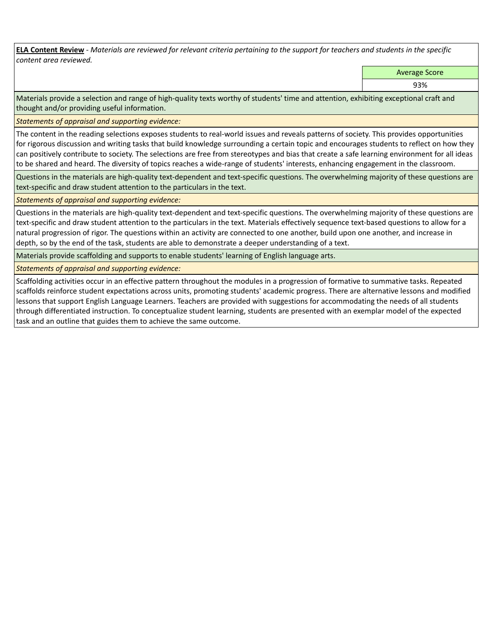**ELA Content Review** *- Materials are reviewed for relevant criteria pertaining to the support for teachers and students in the specific content area reviewed.*

Average Score

93%

Materials provide a selection and range of high-quality texts worthy of students' time and attention, exhibiting exceptional craft and thought and/or providing useful information.

*Statements of appraisal and supporting evidence:* 

The content in the reading selections exposes students to real-world issues and reveals patterns of society. This provides opportunities for rigorous discussion and writing tasks that build knowledge surrounding a certain topic and encourages students to reflect on how they can positively contribute to society. The selections are free from stereotypes and bias that create a safe learning environment for all ideas to be shared and heard. The diversity of topics reaches a wide-range of students' interests, enhancing engagement in the classroom.

Questions in the materials are high-quality text-dependent and text-specific questions. The overwhelming majority of these questions are text-specific and draw student attention to the particulars in the text.

*Statements of appraisal and supporting evidence:* 

Questions in the materials are high-quality text-dependent and text-specific questions. The overwhelming majority of these questions are text-specific and draw student attention to the particulars in the text. Materials effectively sequence text-based questions to allow for a natural progression of rigor. The questions within an activity are connected to one another, build upon one another, and increase in depth, so by the end of the task, students are able to demonstrate a deeper understanding of a text.

Materials provide scaffolding and supports to enable students' learning of English language arts.

*Statements of appraisal and supporting evidence:* 

Scaffolding activities occur in an effective pattern throughout the modules in a progression of formative to summative tasks. Repeated scaffolds reinforce student expectations across units, promoting students' academic progress. There are alternative lessons and modified lessons that support English Language Learners. Teachers are provided with suggestions for accommodating the needs of all students through differentiated instruction. To conceptualize student learning, students are presented with an exemplar model of the expected task and an outline that guides them to achieve the same outcome.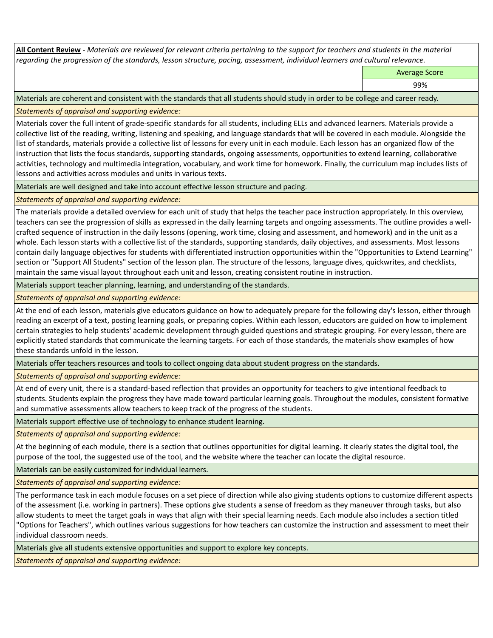**All Content Review** *- Materials are reviewed for relevant criteria pertaining to the support for teachers and students in the material regarding the progression of the standards, lesson structure, pacing, assessment, individual learners and cultural relevance.*

Average Score

99%

Materials are coherent and consistent with the standards that all students should study in order to be college and career ready.

*Statements of appraisal and supporting evidence:*

Materials cover the full intent of grade-specific standards for all students, including ELLs and advanced learners. Materials provide a collective list of the reading, writing, listening and speaking, and language standards that will be covered in each module. Alongside the list of standards, materials provide a collective list of lessons for every unit in each module. Each lesson has an organized flow of the instruction that lists the focus standards, supporting standards, ongoing assessments, opportunities to extend learning, collaborative activities, technology and multimedia integration, vocabulary, and work time for homework. Finally, the curriculum map includes lists of lessons and activities across modules and units in various texts.

Materials are well designed and take into account effective lesson structure and pacing.

*Statements of appraisal and supporting evidence:*

The materials provide a detailed overview for each unit of study that helps the teacher pace instruction appropriately. In this overview, teachers can see the progression of skills as expressed in the daily learning targets and ongoing assessments. The outline provides a wellcrafted sequence of instruction in the daily lessons (opening, work time, closing and assessment, and homework) and in the unit as a whole. Each lesson starts with a collective list of the standards, supporting standards, daily objectives, and assessments. Most lessons contain daily language objectives for students with differentiated instruction opportunities within the "Opportunities to Extend Learning" section or "Support All Students" section of the lesson plan. The structure of the lessons, language dives, quickwrites, and checklists, maintain the same visual layout throughout each unit and lesson, creating consistent routine in instruction.

Materials support teacher planning, learning, and understanding of the standards.

*Statements of appraisal and supporting evidence:*

At the end of each lesson, materials give educators guidance on how to adequately prepare for the following day's lesson, either through reading an excerpt of a text, posting learning goals, or preparing copies. Within each lesson, educators are guided on how to implement certain strategies to help students' academic development through guided questions and strategic grouping. For every lesson, there are explicitly stated standards that communicate the learning targets. For each of those standards, the materials show examples of how these standards unfold in the lesson.

Materials offer teachers resources and tools to collect ongoing data about student progress on the standards.

*Statements of appraisal and supporting evidence:*

At end of every unit, there is a standard-based reflection that provides an opportunity for teachers to give intentional feedback to students. Students explain the progress they have made toward particular learning goals. Throughout the modules, consistent formative and summative assessments allow teachers to keep track of the progress of the students.

Materials support effective use of technology to enhance student learning.

*Statements of appraisal and supporting evidence:*

At the beginning of each module, there is a section that outlines opportunities for digital learning. It clearly states the digital tool, the purpose of the tool, the suggested use of the tool, and the website where the teacher can locate the digital resource.

Materials can be easily customized for individual learners.

*Statements of appraisal and supporting evidence:* 

The performance task in each module focuses on a set piece of direction while also giving students options to customize different aspects of the assessment (i.e. working in partners). These options give students a sense of freedom as they maneuver through tasks, but also allow students to meet the target goals in ways that align with their special learning needs. Each module also includes a section titled "Options for Teachers", which outlines various suggestions for how teachers can customize the instruction and assessment to meet their individual classroom needs.

Materials give all students extensive opportunities and support to explore key concepts.

*Statements of appraisal and supporting evidence:*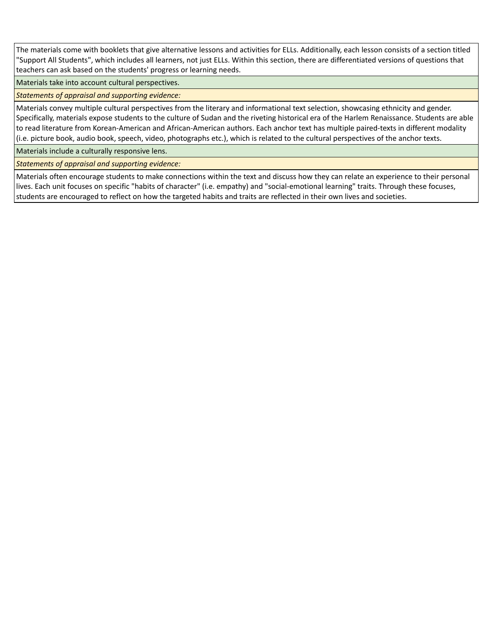The materials come with booklets that give alternative lessons and activities for ELLs. Additionally, each lesson consists of a section titled "Support All Students", which includes all learners, not just ELLs. Within this section, there are differentiated versions of questions that teachers can ask based on the students' progress or learning needs.

Materials take into account cultural perspectives.

*Statements of appraisal and supporting evidence:*

Materials convey multiple cultural perspectives from the literary and informational text selection, showcasing ethnicity and gender. Specifically, materials expose students to the culture of Sudan and the riveting historical era of the Harlem Renaissance. Students are able to read literature from Korean-American and African-American authors. Each anchor text has multiple paired-texts in different modality (i.e. picture book, audio book, speech, video, photographs etc.), which is related to the cultural perspectives of the anchor texts.

Materials include a culturally responsive lens.

*Statements of appraisal and supporting evidence:*

Materials often encourage students to make connections within the text and discuss how they can relate an experience to their personal lives. Each unit focuses on specific "habits of character" (i.e. empathy) and "social-emotional learning" traits. Through these focuses, students are encouraged to reflect on how the targeted habits and traits are reflected in their own lives and societies.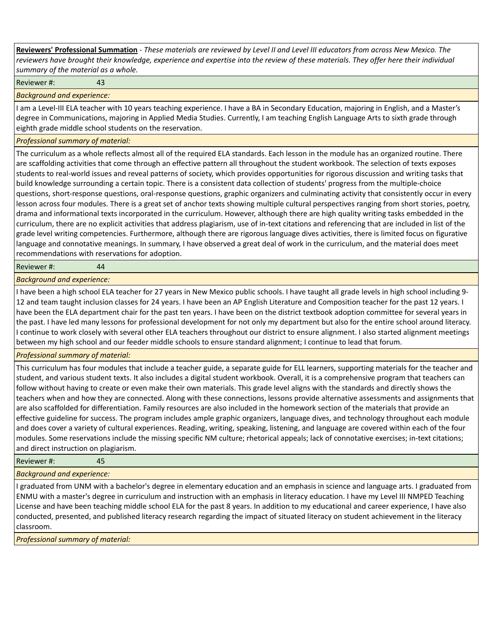**Reviewers' Professional Summation** *- These materials are reviewed by Level II and Level III educators from across New Mexico. The reviewers have brought their knowledge, experience and expertise into the review of these materials. They offer here their individual summary of the material as a whole.*

Reviewer #: 43

*Background and experience:*

I am a Level-III ELA teacher with 10 years teaching experience. I have a BA in Secondary Education, majoring in English, and a Master's degree in Communications, majoring in Applied Media Studies. Currently, I am teaching English Language Arts to sixth grade through eighth grade middle school students on the reservation.

## *Professional summary of material:*

The curriculum as a whole reflects almost all of the required ELA standards. Each lesson in the module has an organized routine. There are scaffolding activities that come through an effective pattern all throughout the student workbook. The selection of texts exposes students to real-world issues and reveal patterns of society, which provides opportunities for rigorous discussion and writing tasks that build knowledge surrounding a certain topic. There is a consistent data collection of students' progress from the multiple-choice questions, short-response questions, oral-response questions, graphic organizers and culminating activity that consistently occur in every lesson across four modules. There is a great set of anchor texts showing multiple cultural perspectives ranging from short stories, poetry, drama and informational texts incorporated in the curriculum. However, although there are high quality writing tasks embedded in the curriculum, there are no explicit activities that address plagiarism, use of in-text citations and referencing that are included in list of the grade level writing competencies. Furthermore, although there are rigorous language dives activities, there is limited focus on figurative language and connotative meanings. In summary, I have observed a great deal of work in the curriculum, and the material does meet recommendations with reservations for adoption.

Reviewer #: 44

*Background and experience:*

I have been a high school ELA teacher for 27 years in New Mexico public schools. I have taught all grade levels in high school including 9- 12 and team taught inclusion classes for 24 years. I have been an AP English Literature and Composition teacher for the past 12 years. I have been the ELA department chair for the past ten years. I have been on the district textbook adoption committee for several years in the past. I have led many lessons for professional development for not only my department but also for the entire school around literacy. I continue to work closely with several other ELA teachers throughout our district to ensure alignment. I also started alignment meetings between my high school and our feeder middle schools to ensure standard alignment; I continue to lead that forum.

*Professional summary of material:*

This curriculum has four modules that include a teacher guide, a separate guide for ELL learners, supporting materials for the teacher and student, and various student texts. It also includes a digital student workbook. Overall, it is a comprehensive program that teachers can follow without having to create or even make their own materials. This grade level aligns with the standards and directly shows the teachers when and how they are connected. Along with these connections, lessons provide alternative assessments and assignments that are also scaffolded for differentiation. Family resources are also included in the homework section of the materials that provide an effective guideline for success. The program includes ample graphic organizers, language dives, and technology throughout each module and does cover a variety of cultural experiences. Reading, writing, speaking, listening, and language are covered within each of the four modules. Some reservations include the missing specific NM culture; rhetorical appeals; lack of connotative exercises; in-text citations; and direct instruction on plagiarism.

Reviewer #: 45

*Background and experience:*

I graduated from UNM with a bachelor's degree in elementary education and an emphasis in science and language arts. I graduated from ENMU with a master's degree in curriculum and instruction with an emphasis in literacy education. I have my Level III NMPED Teaching License and have been teaching middle school ELA for the past 8 years. In addition to my educational and career experience, I have also conducted, presented, and published literacy research regarding the impact of situated literacy on student achievement in the literacy classroom.

*Professional summary of material:*